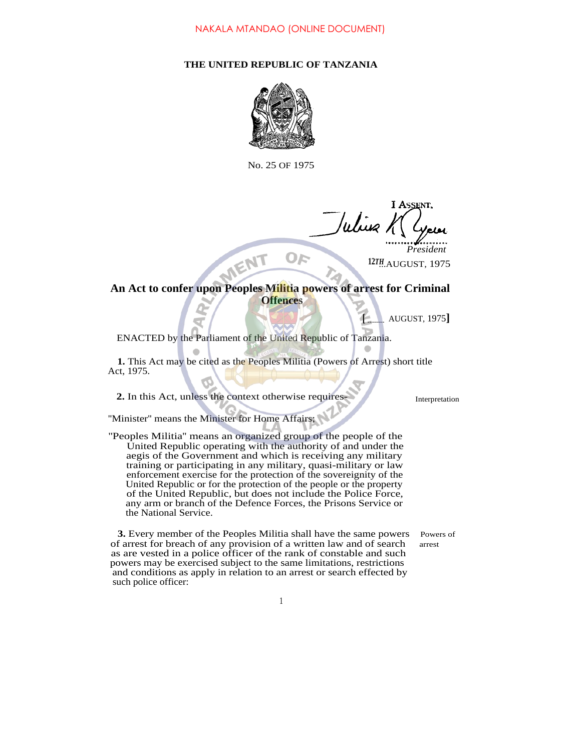## **THE UNITED REPUBLIC OF TANZANIA**



No. 25 OF 1975

Whis

...AUGUST, 1975 **12***TH President*

## An Act to confer upon Peoples Militia powers of arrest for Criminal **Offences**

OE

**[** AUGUST, 1975**]**

ENACTED by the Parliament of the United Republic of Tanzania.

**1.** This Act may be cited as the Peoples Militia (Powers of Arrest) short title Act, 1975.

**2.** In this Act, unless the context otherwise requires- Interpretation

''Minister'' means the Minister for Home Affairs;

''Peoples Militia'' means an organized group of the people of the United Republic operating with the authority of and under the aegis of the Government and which is receiving any military training or participating in any military, quasi-military or law enforcement exercise for the protection of the sovereignity of the United Republic or for the protection of the people or the property of the United Republic, but does not include the Police Force, any arm or branch of the Defence Forces, the Prisons Service or the National Service.

**3.** Every member of the Peoples Militia shall have the same powers Powers of of arrest for breach of any provision of a written law and of search arrest as are vested in a police officer of the rank of constable and such powers may be exercised subject to the same limitations, restrictions and conditions as apply in relation to an arrest or search effected by such police officer:

1